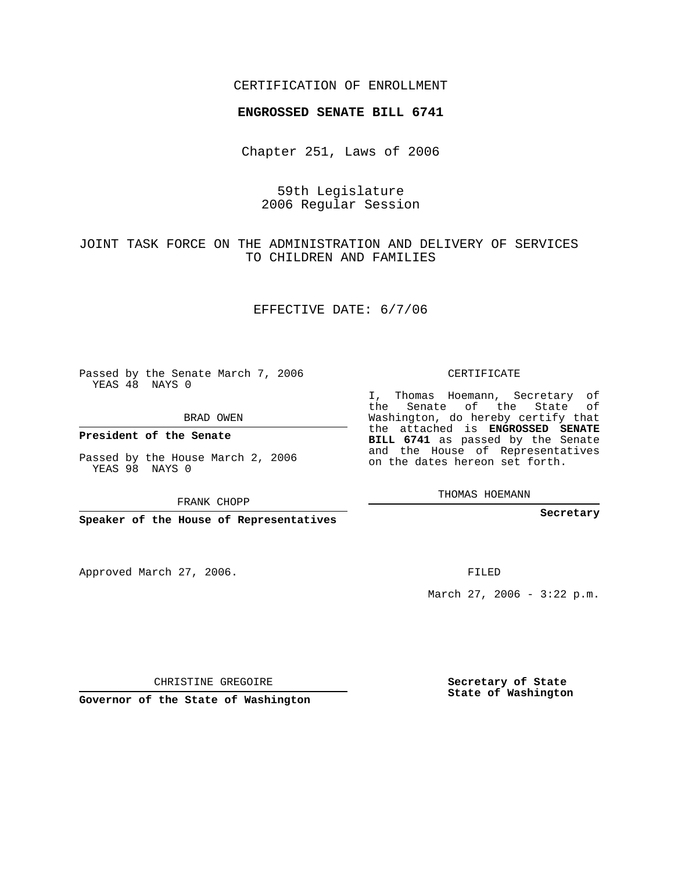#### CERTIFICATION OF ENROLLMENT

#### **ENGROSSED SENATE BILL 6741**

Chapter 251, Laws of 2006

## 59th Legislature 2006 Regular Session

JOINT TASK FORCE ON THE ADMINISTRATION AND DELIVERY OF SERVICES TO CHILDREN AND FAMILIES

EFFECTIVE DATE: 6/7/06

Passed by the Senate March 7, 2006 YEAS 48 NAYS 0

BRAD OWEN

**President of the Senate**

Passed by the House March 2, 2006 YEAS 98 NAYS 0

FRANK CHOPP

**Speaker of the House of Representatives**

Approved March 27, 2006.

CERTIFICATE

I, Thomas Hoemann, Secretary of the Senate of the State of Washington, do hereby certify that the attached is **ENGROSSED SENATE BILL 6741** as passed by the Senate and the House of Representatives on the dates hereon set forth.

THOMAS HOEMANN

**Secretary**

FILED

March 27, 2006 -  $3:22$  p.m.

CHRISTINE GREGOIRE

**Governor of the State of Washington**

**Secretary of State State of Washington**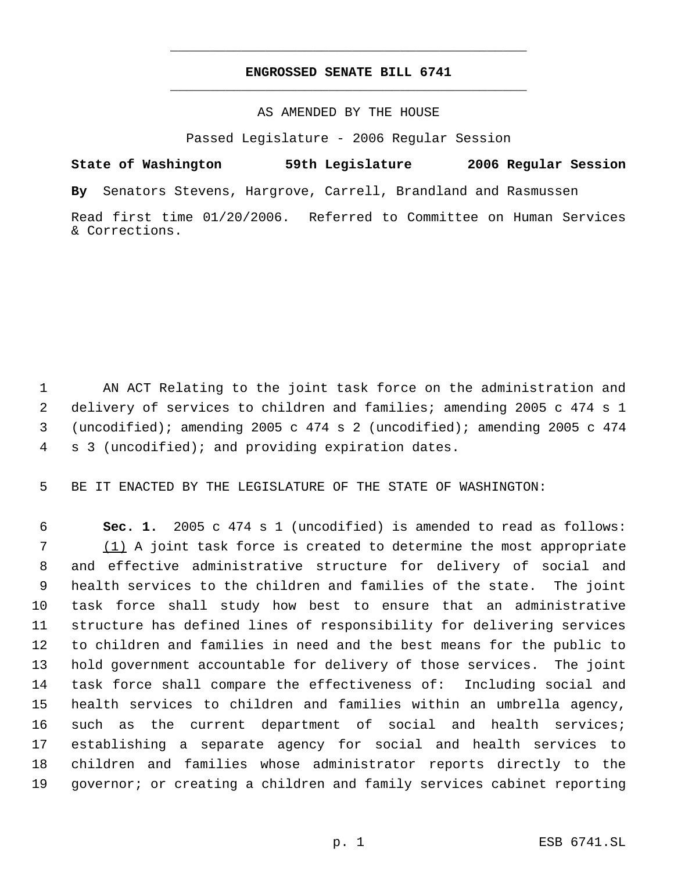# **ENGROSSED SENATE BILL 6741** \_\_\_\_\_\_\_\_\_\_\_\_\_\_\_\_\_\_\_\_\_\_\_\_\_\_\_\_\_\_\_\_\_\_\_\_\_\_\_\_\_\_\_\_\_

\_\_\_\_\_\_\_\_\_\_\_\_\_\_\_\_\_\_\_\_\_\_\_\_\_\_\_\_\_\_\_\_\_\_\_\_\_\_\_\_\_\_\_\_\_

## AS AMENDED BY THE HOUSE

Passed Legislature - 2006 Regular Session

**State of Washington 59th Legislature 2006 Regular Session By** Senators Stevens, Hargrove, Carrell, Brandland and Rasmussen Read first time 01/20/2006. Referred to Committee on Human Services & Corrections.

 AN ACT Relating to the joint task force on the administration and delivery of services to children and families; amending 2005 c 474 s 1 (uncodified); amending 2005 c 474 s 2 (uncodified); amending 2005 c 474 s 3 (uncodified); and providing expiration dates.

BE IT ENACTED BY THE LEGISLATURE OF THE STATE OF WASHINGTON:

 **Sec. 1.** 2005 c 474 s 1 (uncodified) is amended to read as follows: (1) A joint task force is created to determine the most appropriate and effective administrative structure for delivery of social and health services to the children and families of the state. The joint task force shall study how best to ensure that an administrative structure has defined lines of responsibility for delivering services to children and families in need and the best means for the public to hold government accountable for delivery of those services. The joint task force shall compare the effectiveness of: Including social and health services to children and families within an umbrella agency, such as the current department of social and health services; establishing a separate agency for social and health services to children and families whose administrator reports directly to the governor; or creating a children and family services cabinet reporting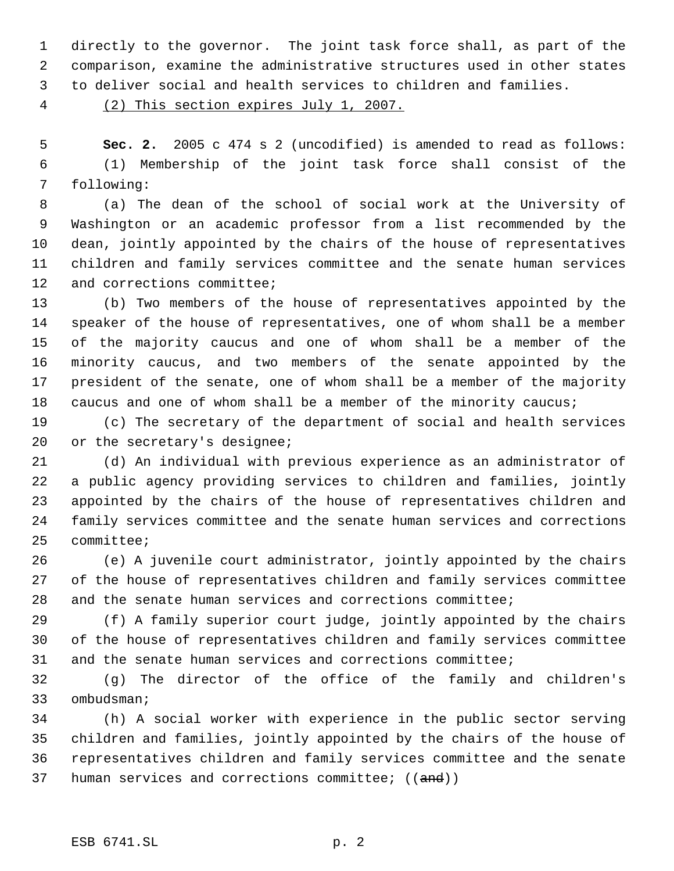directly to the governor. The joint task force shall, as part of the comparison, examine the administrative structures used in other states

to deliver social and health services to children and families.

(2) This section expires July 1, 2007.

 **Sec. 2.** 2005 c 474 s 2 (uncodified) is amended to read as follows: (1) Membership of the joint task force shall consist of the following:

 (a) The dean of the school of social work at the University of Washington or an academic professor from a list recommended by the dean, jointly appointed by the chairs of the house of representatives children and family services committee and the senate human services 12 and corrections committee;

 (b) Two members of the house of representatives appointed by the speaker of the house of representatives, one of whom shall be a member of the majority caucus and one of whom shall be a member of the minority caucus, and two members of the senate appointed by the president of the senate, one of whom shall be a member of the majority caucus and one of whom shall be a member of the minority caucus;

 (c) The secretary of the department of social and health services 20 or the secretary's designee;

 (d) An individual with previous experience as an administrator of a public agency providing services to children and families, jointly appointed by the chairs of the house of representatives children and family services committee and the senate human services and corrections committee;

 (e) A juvenile court administrator, jointly appointed by the chairs of the house of representatives children and family services committee and the senate human services and corrections committee;

 (f) A family superior court judge, jointly appointed by the chairs of the house of representatives children and family services committee and the senate human services and corrections committee;

 (g) The director of the office of the family and children's ombudsman;

 (h) A social worker with experience in the public sector serving children and families, jointly appointed by the chairs of the house of representatives children and family services committee and the senate 37 human services and corrections committee; ((and))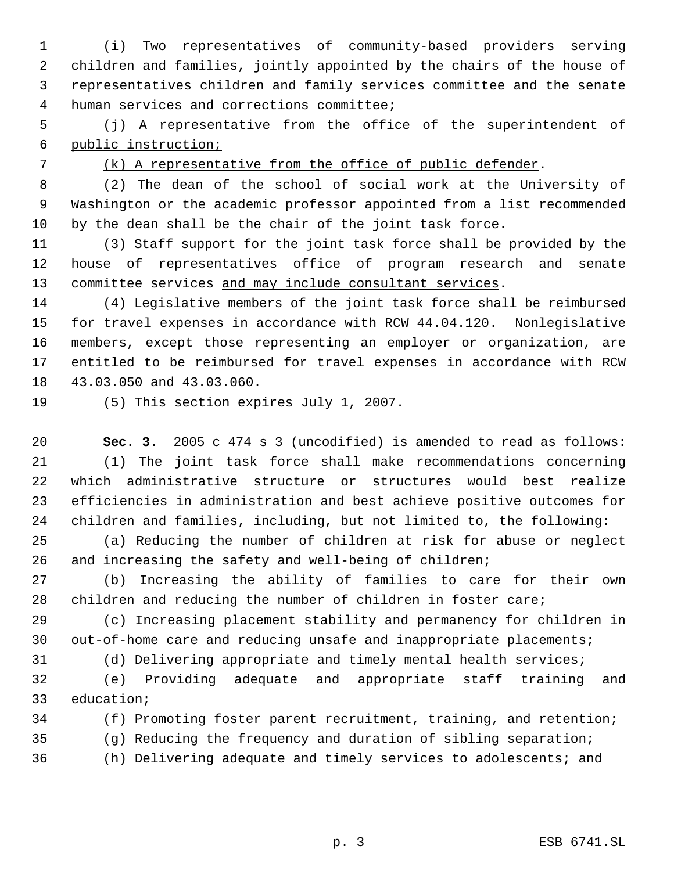(i) Two representatives of community-based providers serving children and families, jointly appointed by the chairs of the house of representatives children and family services committee and the senate 4 human services and corrections committee;

 (j) A representative from the office of the superintendent of public instruction;

(k) A representative from the office of public defender.

 (2) The dean of the school of social work at the University of Washington or the academic professor appointed from a list recommended by the dean shall be the chair of the joint task force.

 (3) Staff support for the joint task force shall be provided by the house of representatives office of program research and senate 13 committee services and may include consultant services.

 (4) Legislative members of the joint task force shall be reimbursed for travel expenses in accordance with RCW 44.04.120. Nonlegislative members, except those representing an employer or organization, are entitled to be reimbursed for travel expenses in accordance with RCW 43.03.050 and 43.03.060.

# (5) This section expires July 1, 2007.

 **Sec. 3.** 2005 c 474 s 3 (uncodified) is amended to read as follows: (1) The joint task force shall make recommendations concerning which administrative structure or structures would best realize efficiencies in administration and best achieve positive outcomes for children and families, including, but not limited to, the following:

 (a) Reducing the number of children at risk for abuse or neglect 26 and increasing the safety and well-being of children;

 (b) Increasing the ability of families to care for their own children and reducing the number of children in foster care;

 (c) Increasing placement stability and permanency for children in out-of-home care and reducing unsafe and inappropriate placements;

(d) Delivering appropriate and timely mental health services;

 (e) Providing adequate and appropriate staff training and education;

(f) Promoting foster parent recruitment, training, and retention;

(g) Reducing the frequency and duration of sibling separation;

(h) Delivering adequate and timely services to adolescents; and